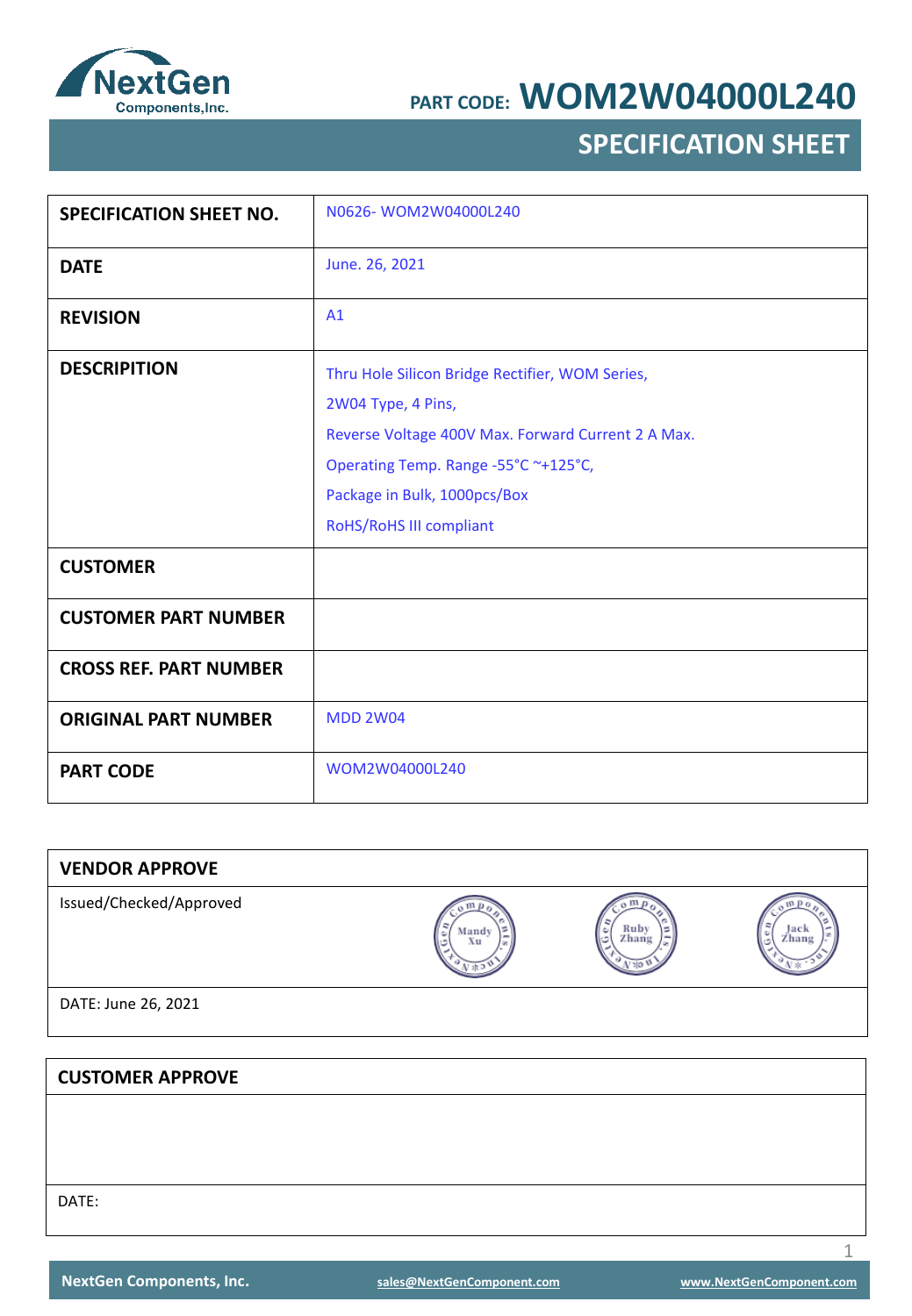

## **SPECIFICATION SHEET**

| <b>SPECIFICATION SHEET NO.</b> | N0626-WOM2W04000L240                                                                                                                                                                                                           |
|--------------------------------|--------------------------------------------------------------------------------------------------------------------------------------------------------------------------------------------------------------------------------|
| <b>DATE</b>                    | June. 26, 2021                                                                                                                                                                                                                 |
| <b>REVISION</b>                | A1                                                                                                                                                                                                                             |
| <b>DESCRIPITION</b>            | Thru Hole Silicon Bridge Rectifier, WOM Series,<br>2W04 Type, 4 Pins,<br>Reverse Voltage 400V Max. Forward Current 2 A Max.<br>Operating Temp. Range -55°C ~+125°C,<br>Package in Bulk, 1000pcs/Box<br>RoHS/RoHS III compliant |
| <b>CUSTOMER</b>                |                                                                                                                                                                                                                                |
| <b>CUSTOMER PART NUMBER</b>    |                                                                                                                                                                                                                                |
| <b>CROSS REF. PART NUMBER</b>  |                                                                                                                                                                                                                                |
| <b>ORIGINAL PART NUMBER</b>    | <b>MDD 2W04</b>                                                                                                                                                                                                                |
| <b>PART CODE</b>               | WOM2W04000L240                                                                                                                                                                                                                 |

| <b>VENDOR APPROVE</b>   |             |                    |               |
|-------------------------|-------------|--------------------|---------------|
| Issued/Checked/Approved | Mandy<br>Xu | Ruby<br>٥<br>Zhang | тась<br>Zhang |
| DATE: June 26, 2021     |             |                    |               |
|                         |             |                    |               |
| <b>CUSTOMER APPROVE</b> |             |                    |               |
|                         |             |                    |               |
|                         |             |                    |               |
|                         |             |                    |               |

DATE: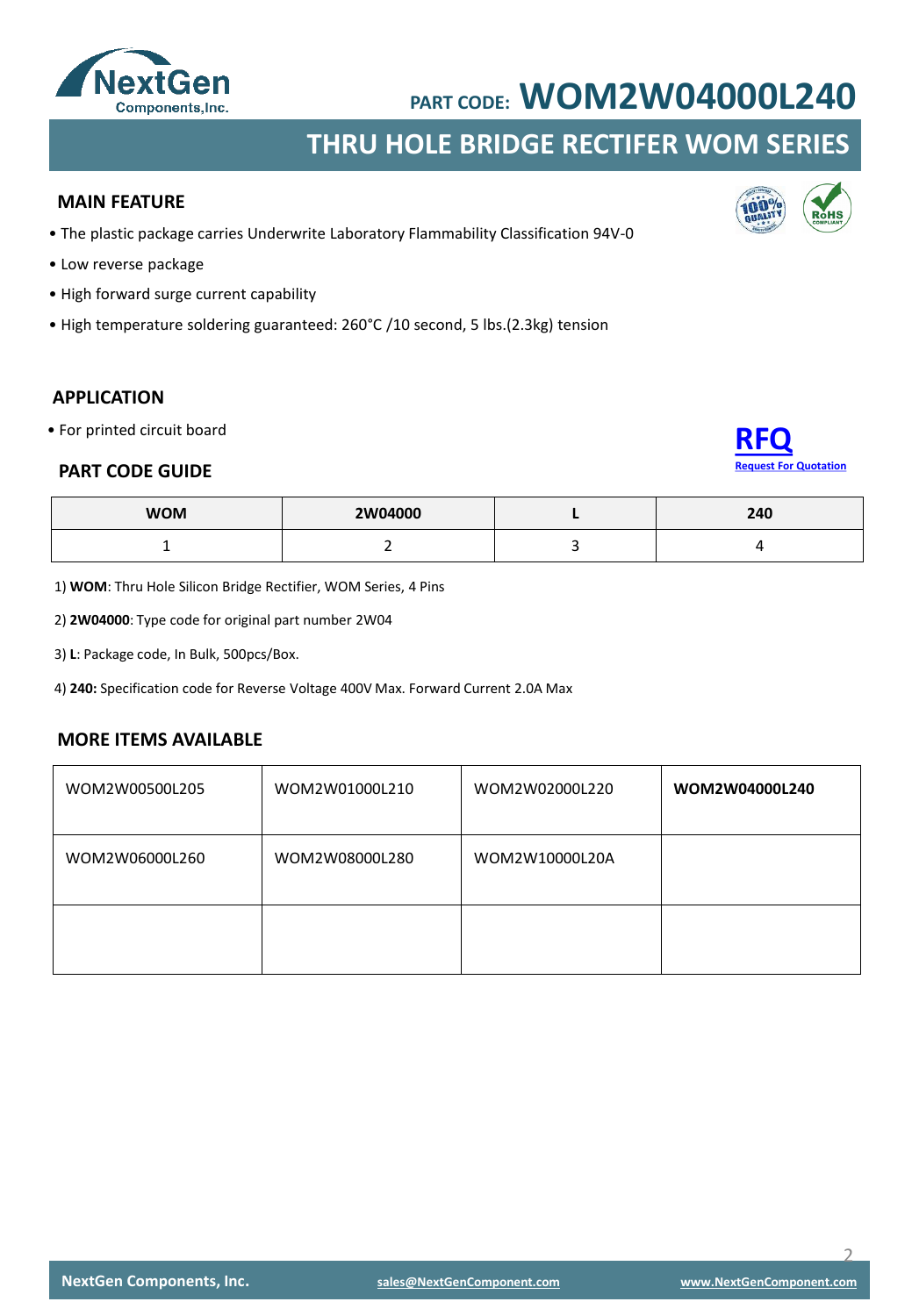

# **THRU HOLE BRIDGE RECTIFER WOM SERIES**

#### **MAIN FEATURE**

- The plastic package carries Underwrite Laboratory Flammability Classification 94V-0
- Low reverse package
- High forward surge current capability
- High temperature soldering guaranteed: 260°C /10 second, 5 lbs.(2.3kg) tension

### **APPLICATION**

• For printed circuit board

#### **PART CODE GUIDE**



| <b>WOM</b> | 2W04000 | 240 |
|------------|---------|-----|
|            |         |     |

1) **WOM**: Thru Hole Silicon Bridge Rectifier, WOM Series, 4 Pins

2) **2W04000**: Type code for original part number 2W04

3) **L**: Package code, In Bulk, 500pcs/Box.

4) **240:** Specification code for Reverse Voltage 400V Max. Forward Current 2.0A Max

#### **MORE ITEMS AVAILABLE**

| WOM2W00500L205 | WOM2W01000L210 | WOM2W02000L220 | WOM2W04000L240 |
|----------------|----------------|----------------|----------------|
| WOM2W06000L260 | WOM2W08000L280 | WOM2W10000L20A |                |
|                |                |                |                |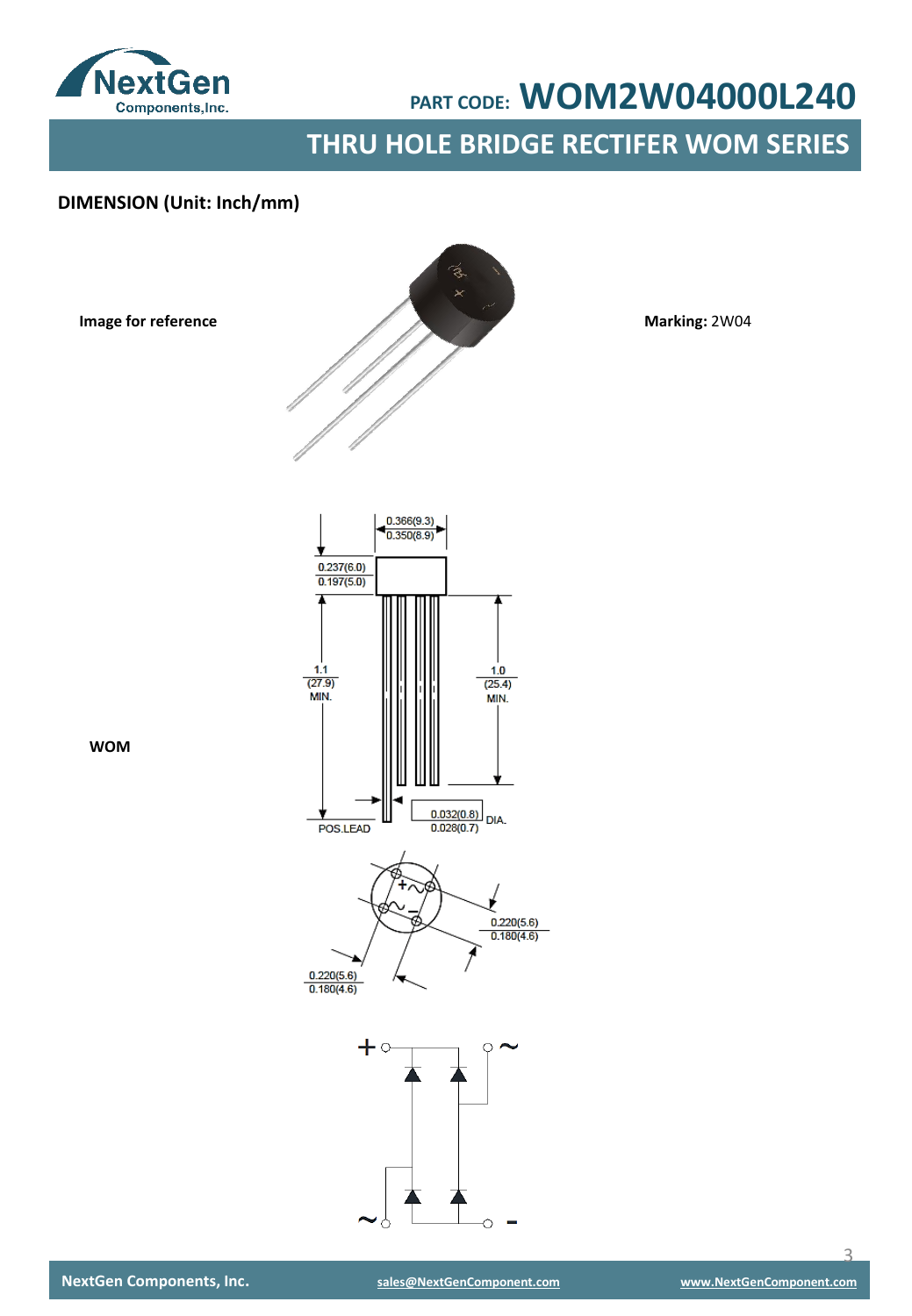

**THRU HOLE BRIDGE RECTIFER WOM SERIES**

### **DIMENSION (Unit: Inch/mm)**

**Image for reference**



**Marking:** 2W04



 $+ \circ$ 

**WOM**

 $\overline{\mathcal{L}}$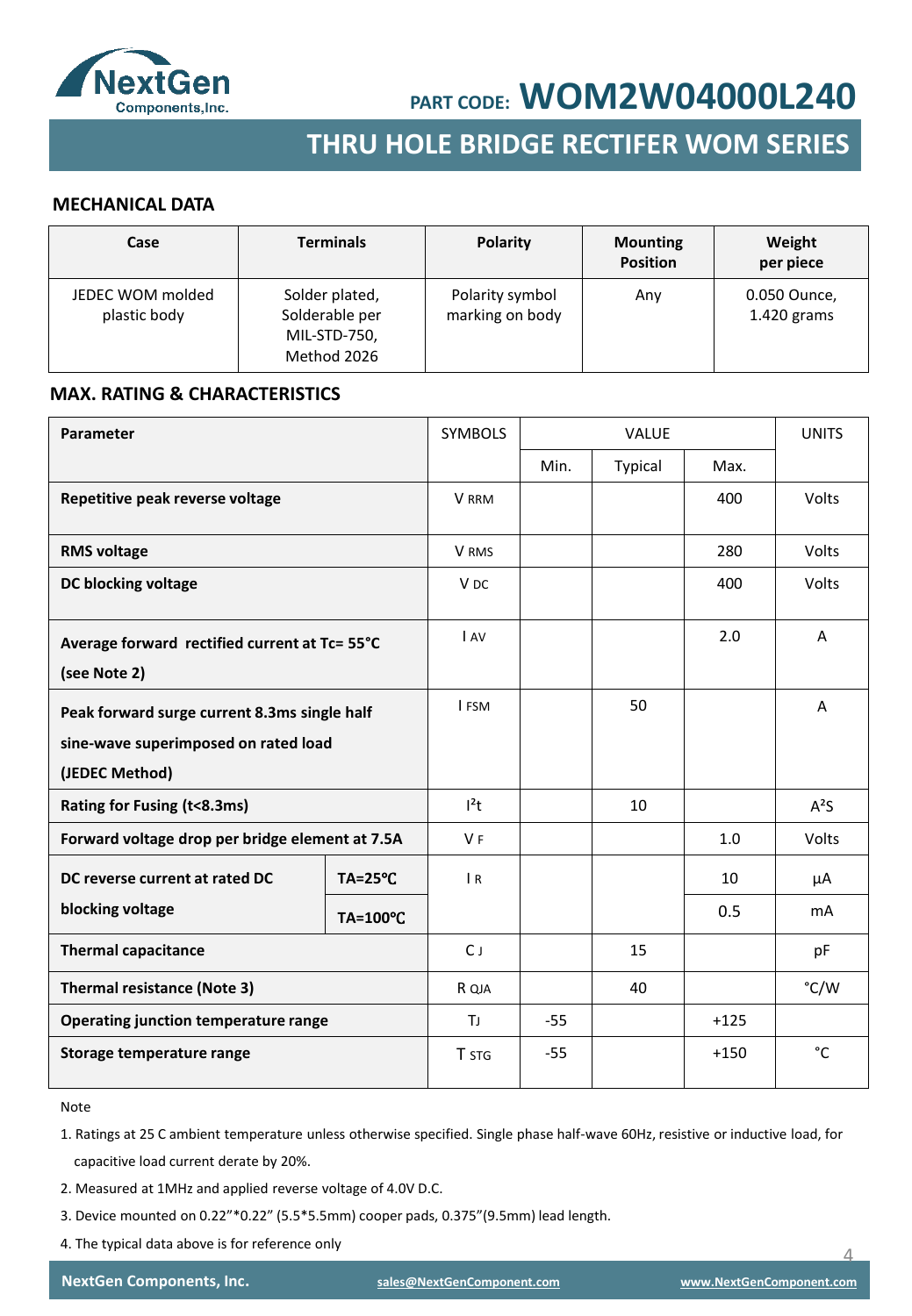

## **SMD SCHOTTKY BARRIER RECTIFER SMD GENERAL RECTIFER THRU HOLE BRIDGE RECTIFER WOM SERIES**

#### **MECHANICAL DATA**

| Case                             | <b>Terminals</b>                                                | <b>Polarity</b>                    | <b>Mounting</b><br><b>Position</b> | Weight<br>per piece           |
|----------------------------------|-----------------------------------------------------------------|------------------------------------|------------------------------------|-------------------------------|
| JEDEC WOM molded<br>plastic body | Solder plated,<br>Solderable per<br>MIL-STD-750,<br>Method 2026 | Polarity symbol<br>marking on body | Any                                | 0.050 Ounce,<br>$1.420$ grams |

#### **MAX. RATING & CHARACTERISTICS**

| Parameter                                                                                              |                    | <b>SYMBOLS</b>  | VALUE |         | <b>UNITS</b> |                |
|--------------------------------------------------------------------------------------------------------|--------------------|-----------------|-------|---------|--------------|----------------|
|                                                                                                        |                    |                 | Min.  | Typical | Max.         |                |
| Repetitive peak reverse voltage                                                                        |                    | <b>V</b> RRM    |       |         | 400          | Volts          |
| <b>RMS voltage</b>                                                                                     |                    | V RMS           |       |         | 280          | <b>Volts</b>   |
| DC blocking voltage                                                                                    |                    | V <sub>DC</sub> |       |         | 400          | Volts          |
| Average forward rectified current at Tc= 55°C<br>(see Note 2)                                          |                    | I AV            |       |         | 2.0          | A              |
| Peak forward surge current 8.3ms single half<br>sine-wave superimposed on rated load<br>(JEDEC Method) |                    | I FSM           |       | 50      |              | A              |
| Rating for Fusing (t<8.3ms)                                                                            |                    | $l^2t$          |       | 10      |              | $A^2S$         |
| Forward voltage drop per bridge element at 7.5A                                                        |                    | V <sub>F</sub>  |       |         | 1.0          | <b>Volts</b>   |
| DC reverse current at rated DC                                                                         | $TA = 25^{\circ}C$ | $\overline{R}$  |       |         | 10           | μA             |
| blocking voltage                                                                                       | TA=100°C           |                 |       |         | 0.5          | m <sub>A</sub> |
| <b>Thermal capacitance</b>                                                                             |                    | $C_{J}$         |       | 15      |              | pF             |
| Thermal resistance (Note 3)                                                                            |                    | R QJA           |       | 40      |              | °C/W           |
| Operating junction temperature range                                                                   |                    | ΤJ              | $-55$ |         | $+125$       |                |
| Storage temperature range                                                                              |                    | T STG           | $-55$ |         | $+150$       | °C             |

Note

1. Ratings at 25 C ambient temperature unless otherwise specified. Single phase half-wave 60Hz, resistive or inductive load, for capacitive load current derate by 20%.

- 2. Measured at 1MHz and applied reverse voltage of 4.0V D.C.
- 3. Device mounted on 0.22"\*0.22" (5.5\*5.5mm) cooper pads, 0.375"(9.5mm) lead length.
- 4. The typical data above is for reference only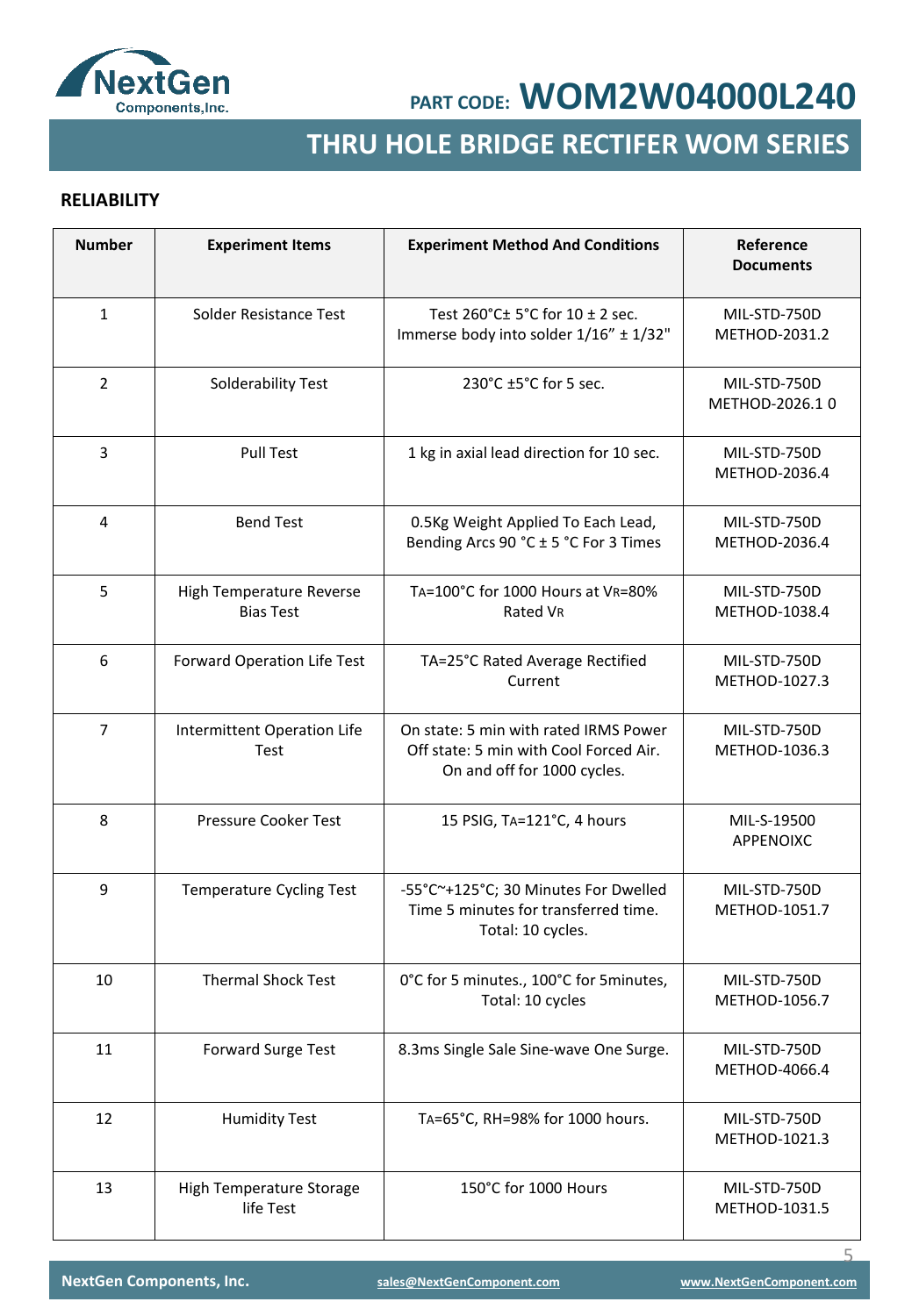

# **SMD GENERAL RECTIFER THRU HOLE BRIDGE RECTIFER WOM SERIES**

### **RELIABILITY**

| <b>Number</b>  | <b>Experiment Items</b>                      | <b>Experiment Method And Conditions</b>                                                                        | Reference<br><b>Documents</b>  |
|----------------|----------------------------------------------|----------------------------------------------------------------------------------------------------------------|--------------------------------|
| $\mathbf{1}$   | Solder Resistance Test                       | Test 260°C± 5°C for 10 ± 2 sec.<br>Immerse body into solder 1/16" ± 1/32"                                      | MIL-STD-750D<br>METHOD-2031.2  |
| $\overline{2}$ | Solderability Test                           | 230°C ±5°C for 5 sec.                                                                                          | MIL-STD-750D<br>METHOD-2026.10 |
| 3              | <b>Pull Test</b>                             | 1 kg in axial lead direction for 10 sec.                                                                       | MIL-STD-750D<br>METHOD-2036.4  |
| 4              | <b>Bend Test</b>                             | 0.5Kg Weight Applied To Each Lead,<br>Bending Arcs 90 °C ± 5 °C For 3 Times                                    | MIL-STD-750D<br>METHOD-2036.4  |
| 5              | High Temperature Reverse<br><b>Bias Test</b> | TA=100°C for 1000 Hours at VR=80%<br>Rated VR                                                                  | MIL-STD-750D<br>METHOD-1038.4  |
| 6              | Forward Operation Life Test                  | TA=25°C Rated Average Rectified<br>Current                                                                     | MIL-STD-750D<br>METHOD-1027.3  |
| $\overline{7}$ | Intermittent Operation Life<br>Test          | On state: 5 min with rated IRMS Power<br>Off state: 5 min with Cool Forced Air.<br>On and off for 1000 cycles. | MIL-STD-750D<br>METHOD-1036.3  |
| 8              | Pressure Cooker Test                         | 15 PSIG, TA=121°C, 4 hours                                                                                     | MIL-S-19500<br>APPENOIXC       |
| 9              | <b>Temperature Cycling Test</b>              | -55°C~+125°C; 30 Minutes For Dwelled<br>Time 5 minutes for transferred time.<br>Total: 10 cycles.              | MIL-STD-750D<br>METHOD-1051.7  |
| 10             | <b>Thermal Shock Test</b>                    | 0°C for 5 minutes., 100°C for 5 minutes,<br>Total: 10 cycles                                                   | MIL-STD-750D<br>METHOD-1056.7  |
| 11             | <b>Forward Surge Test</b>                    | 8.3ms Single Sale Sine-wave One Surge.                                                                         | MIL-STD-750D<br>METHOD-4066.4  |
| 12             | <b>Humidity Test</b>                         | TA=65°C, RH=98% for 1000 hours.                                                                                | MIL-STD-750D<br>METHOD-1021.3  |
| 13             | High Temperature Storage<br>life Test        | 150°C for 1000 Hours                                                                                           | MIL-STD-750D<br>METHOD-1031.5  |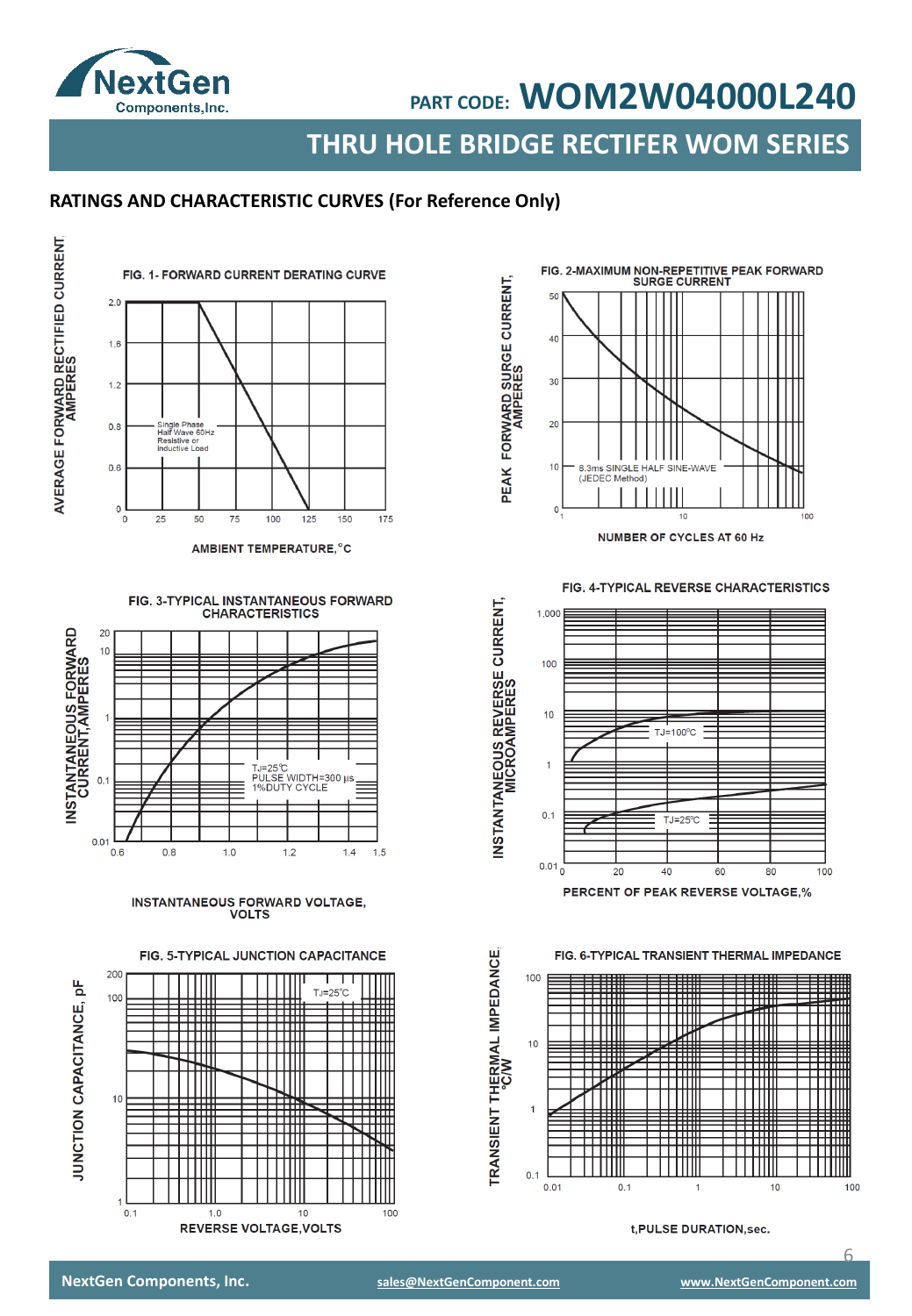

**THRU HOLE BRIDGE RECTIFER WOM SERIES**

### **RATINGS AND CHARACTERISTIC CURVES (For Reference Only)**



AMBIENT TEMPERATURE, °C





INSTANTANEOUS FORWARD VOLTAGE,<br>VOLTS

FIG. 5-TYPICAL JUNCTION CAPACITANCE





FIG. 4-TYPICAL REVERSE CHARACTERISTICS



FIG. 6-TYPICAL TRANSIENT THERMAL IMPEDANCE



t, PULSE DURATION, sec.